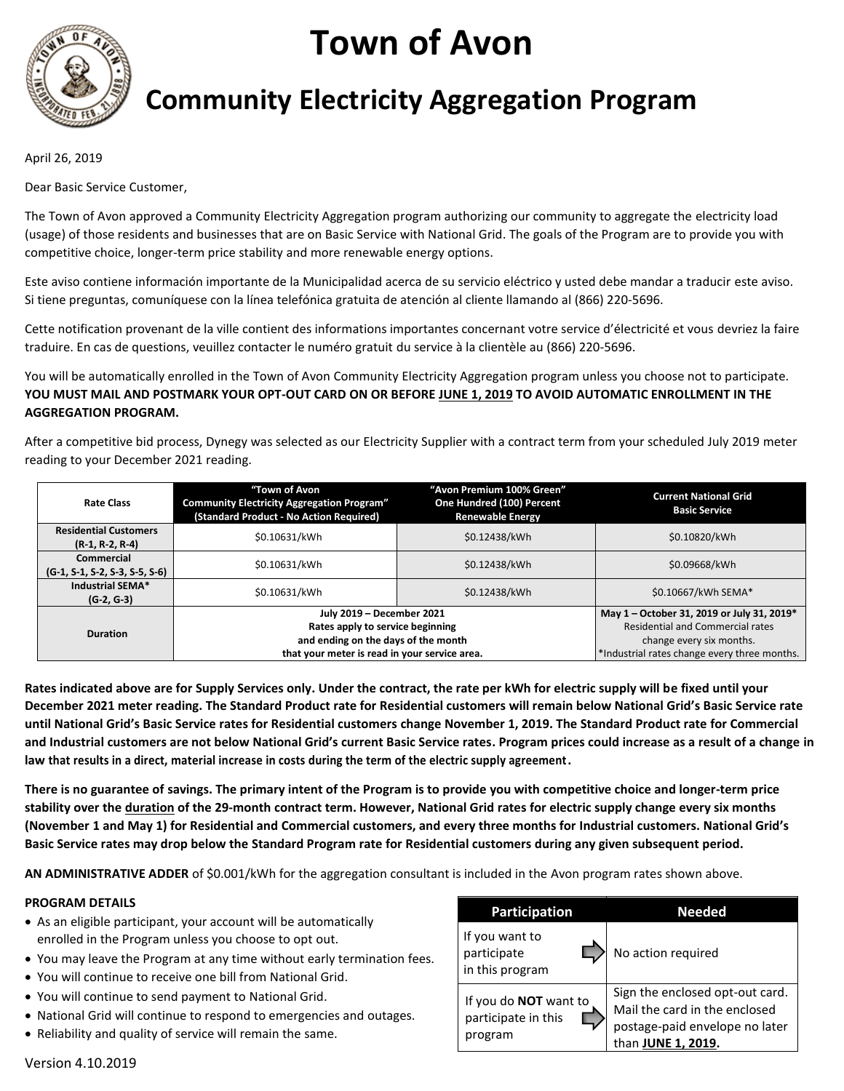

# **Town of Avon**

# **Community Electricity Aggregation Program**

April 26, 2019

Dear Basic Service Customer,

The Town of Avon approved a Community Electricity Aggregation program authorizing our community to aggregate the electricity load (usage) of those residents and businesses that are on Basic Service with National Grid. The goals of the Program are to provide you with competitive choice, longer-term price stability and more renewable energy options.

Este aviso contiene información importante de la Municipalidad acerca de su servicio eléctrico y usted debe mandar a traducir este aviso. Si tiene preguntas, comuníquese con la línea telefónica gratuita de atención al cliente llamando al (866) 220-5696.

Cette notification provenant de la ville contient des informations importantes concernant votre service d'électricité et vous devriez la faire traduire. En cas de questions, veuillez contacter le numéro gratuit du service à la clientèle au (866) 220-5696.

You will be automatically enrolled in the Town of Avon Community Electricity Aggregation program unless you choose not to participate. **YOU MUST MAIL AND POSTMARK YOUR OPT-OUT CARD ON OR BEFORE JUNE 1, 2019 TO AVOID AUTOMATIC ENROLLMENT IN THE AGGREGATION PROGRAM.**

After a competitive bid process, Dynegy was selected as our Electricity Supplier with a contract term from your scheduled July 2019 meter reading to your December 2021 reading.

| <b>Rate Class</b>                                 | "Town of Avon<br><b>Community Electricity Aggregation Program"</b><br>(Standard Product - No Action Required)                                         | "Avon Premium 100% Green"<br>One Hundred (100) Percent<br><b>Renewable Energy</b> | <b>Current National Grid</b><br><b>Basic Service</b>                                                                                                              |
|---------------------------------------------------|-------------------------------------------------------------------------------------------------------------------------------------------------------|-----------------------------------------------------------------------------------|-------------------------------------------------------------------------------------------------------------------------------------------------------------------|
| <b>Residential Customers</b><br>$(R-1, R-2, R-4)$ | \$0.10631/kWh                                                                                                                                         | \$0.12438/kWh                                                                     | \$0.10820/kWh                                                                                                                                                     |
| Commercial<br>$(G-1, S-1, S-2, S-3, S-5, S-6)$    | \$0.10631/kWh                                                                                                                                         | \$0.12438/kWh                                                                     | \$0.09668/kWh                                                                                                                                                     |
| Industrial SEMA*<br>$(G-2, G-3)$                  | \$0.10631/kWh                                                                                                                                         | \$0.12438/kWh                                                                     | \$0.10667/kWh SEMA*                                                                                                                                               |
| <b>Duration</b>                                   | July 2019 - December 2021<br>Rates apply to service beginning<br>and ending on the days of the month<br>that your meter is read in your service area. |                                                                                   | May 1 - October 31, 2019 or July 31, 2019*<br><b>Residential and Commercial rates</b><br>change every six months.<br>*Industrial rates change every three months. |

**Rates indicated above are for Supply Services only. Under the contract, the rate per kWh for electric supply will be fixed until your December 2021 meter reading. The Standard Product rate for Residential customers will remain below National Grid's Basic Service rate until National Grid's Basic Service rates for Residential customers change November 1, 2019. The Standard Product rate for Commercial and Industrial customers are not below National Grid's current Basic Service rates. Program prices could increase as a result of a change in law that results in a direct, material increase in costs during the term of the electric supply agreement.**

**There is no guarantee of savings. The primary intent of the Program is to provide you with competitive choice and longer-term price stability over the duration of the 29-month contract term. However, National Grid rates for electric supply change every six months (November 1 and May 1) for Residential and Commercial customers, and every three months for Industrial customers. National Grid's Basic Service rates may drop below the Standard Program rate for Residential customers during any given subsequent period.**

**AN ADMINISTRATIVE ADDER** of \$0.001/kWh for the aggregation consultant is included in the Avon program rates shown above.

# **PROGRAM DETAILS**

- As an eligible participant, your account will be automatically enrolled in the Program unless you choose to opt out.
- You may leave the Program at any time without early termination fees.
- You will continue to receive one bill from National Grid.
- You will continue to send payment to National Grid.
- National Grid will continue to respond to emergencies and outages.
- Reliability and quality of service will remain the same.

| <b>Participation</b>                                           | Needed                                                                                                                   |  |
|----------------------------------------------------------------|--------------------------------------------------------------------------------------------------------------------------|--|
| If you want to<br>participate<br>in this program               | No action required                                                                                                       |  |
| If you do <b>NOT</b> want to<br>participate in this<br>program | Sign the enclosed opt-out card.<br>Mail the card in the enclosed<br>postage-paid envelope no later<br>than JUNE 1, 2019. |  |